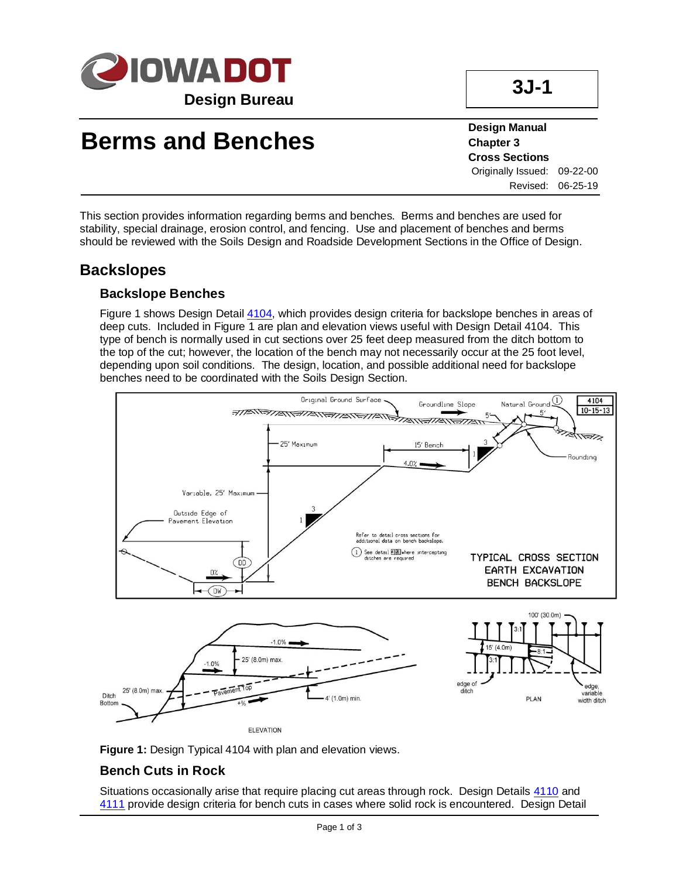

# **Berms and Benches**

**Design Manual Chapter 3 Cross Sections** Originally Issued: 09-22-00 Revised: 06-25-19

This section provides information regarding berms and benches. Berms and benches are used for stability, special drainage, erosion control, and fencing. Use and placement of benches and berms should be reviewed with the Soils Design and Roadside Development Sections in the Office of Design.

### **Backslopes**

#### **Backslope Benches**

Figure 1 shows Design Detail [4104,](../tnt/PDFsandWebFiles/IndividualPDFs/4101.pdf) which provides design criteria for backslope benches in areas of deep cuts. Included in Figure 1 are plan and elevation views useful with Design Detail 4104. This type of bench is normally used in cut sections over 25 feet deep measured from the ditch bottom to the top of the cut; however, the location of the bench may not necessarily occur at the 25 foot level, depending upon soil conditions. The design, location, and possible additional need for backslope benches need to be coordinated with the Soils Design Section.



**Figure 1:** Design Typical 4104 with plan and elevation views.

#### **Bench Cuts in Rock**

Situations occasionally arise that require placing cut areas through rock. Design Details [4110](../tnt/PDFsandWebFiles/IndividualPDFs/4110.pdf) and [4111](../tnt/PDFsandWebFiles/IndividualPDFs/4111.pdf) provide design criteria for bench cuts in cases where solid rock is encountered. Design Detail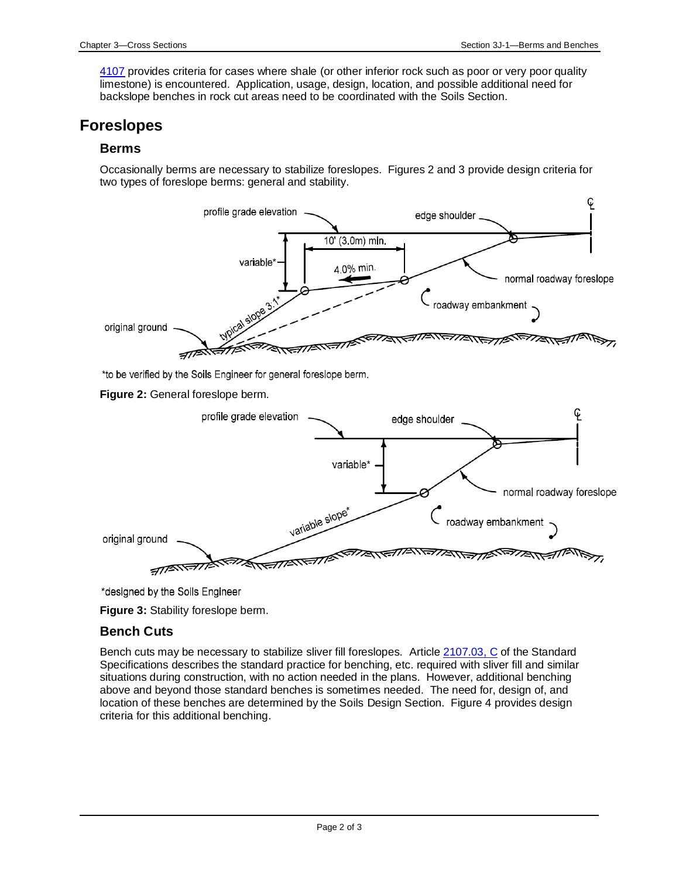[4107](../tnt/PDFsandWebFiles/IndividualPDFs/4107.pdf) provides criteria for cases where shale (or other inferior rock such as poor or very poor quality limestone) is encountered. Application, usage, design, location, and possible additional need for backslope benches in rock cut areas need to be coordinated with the Soils Section.

### **Foreslopes**

#### **Berms**

Occasionally berms are necessary to stabilize foreslopes. Figures 2 and 3 provide design criteria for two types of foreslope berms: general and stability.



\*designed by the Soils Engineer

**Figure 3:** Stability foreslope berm.

#### **Bench Cuts**

Bench cuts may be necessary to stabilize sliver fill foreslopes. Article [2107.03, C](../../erl/current/GS/content/2107.htm) of the Standard Specifications describes the standard practice for benching, etc. required with sliver fill and similar situations during construction, with no action needed in the plans. However, additional benching above and beyond those standard benches is sometimes needed. The need for, design of, and location of these benches are determined by the Soils Design Section. Figure 4 provides design criteria for this additional benching.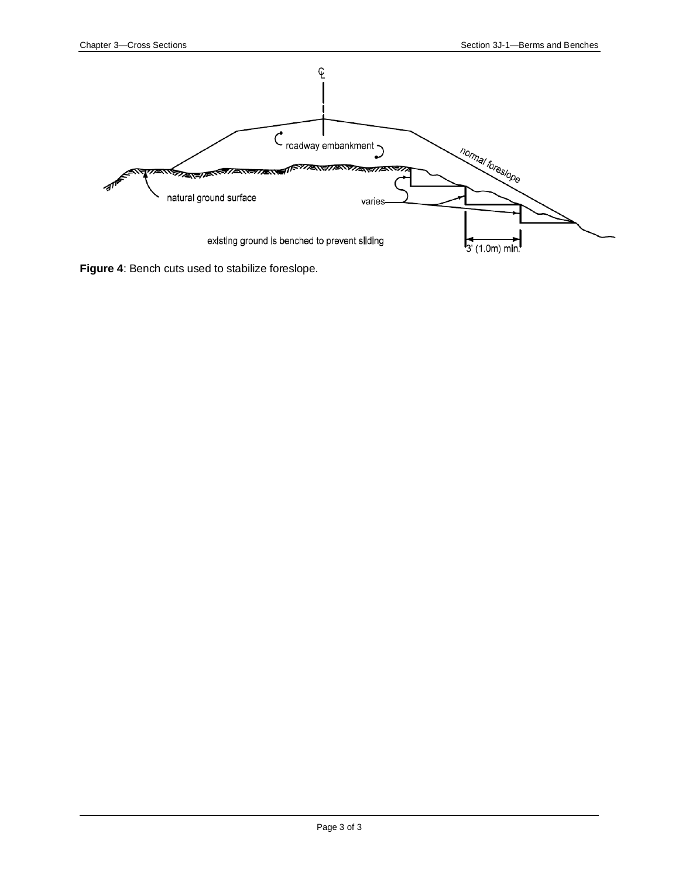

**Figure 4**: Bench cuts used to stabilize foreslope.